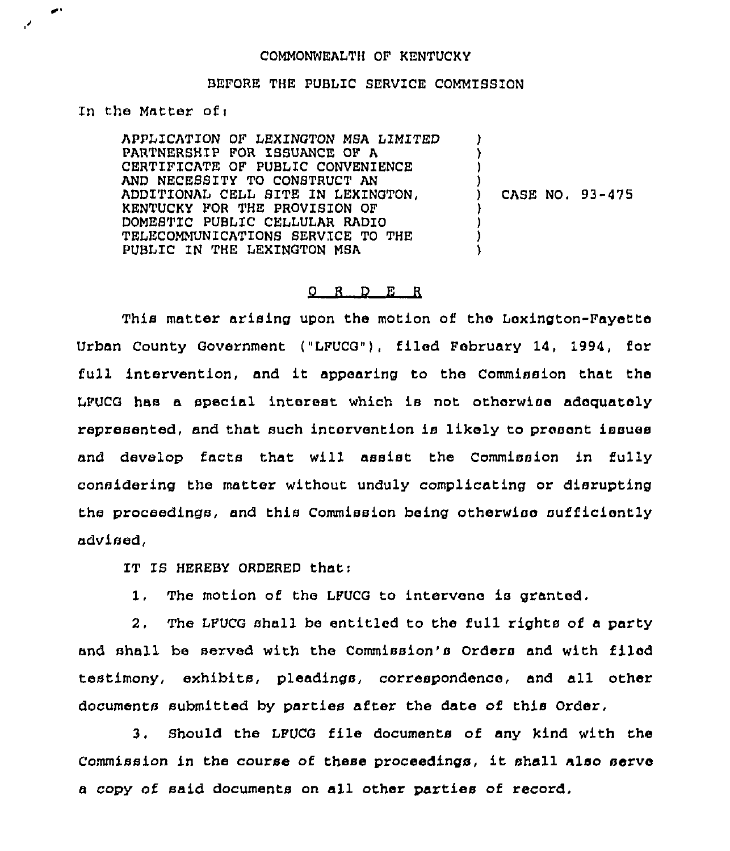## COMMONWEALTH OF KENTUCKY

## BEFORE THE PUBLIC SERVICE COMMISSION

In the Matter of:

APPLICATION OF LEXINGTON MSA LIMITED PARTNERSHIP FOR ISSUANCE OF A CERTIFICATE OF PUBLIC CONVENIENCE AND NECESSITY TO CONSTRUCT AN ADDITIONAL CELL SITE IN LEXINGTON, KENTUCKY FOR THE PROVISION OF DOMESTIC PUBLIC CELLULAR RADIO TELECOMMUNICATIONS SERVICE TO THE PUBLIC IN THE LEXINGTON MSA 1 ) )  $\mathbf{)}$ ) CASE NO. 93-475 ) ) ) )

## 0 <sup>R</sup> <sup>D</sup> E <sup>R</sup>

This matter arising upon the motion of the Lexington-Fayette Urban County Government ("LFUCG"), file8 February 14, 1994, for full intervention, and it appearing to the Commission that the LFUCG hns a special interest which ia not otherwiae adequately represented, and that such intervention ia likely to present issues and develop facts that will assist the Commission in fully considering the matter without unduly complicating or disrupting the proceedings, and this Commission being otherwise sufficiently advised,

IT IS HEREBY ORDERED that:

1. The motion of the LFUCG to intervene ia granted.

2, The LFUCG shall be entitled to the full rights of a party and shall be served with the Commission's Orders and with filed testimony, exhibits, pleadings, correspondence, and all other documents submitted by parties after the date of this Order,

3. Should the LFUCG file documents of any kind with the Commission in the course of these proceedings, it shall also serve a copy of said documents on nll other parties of record,